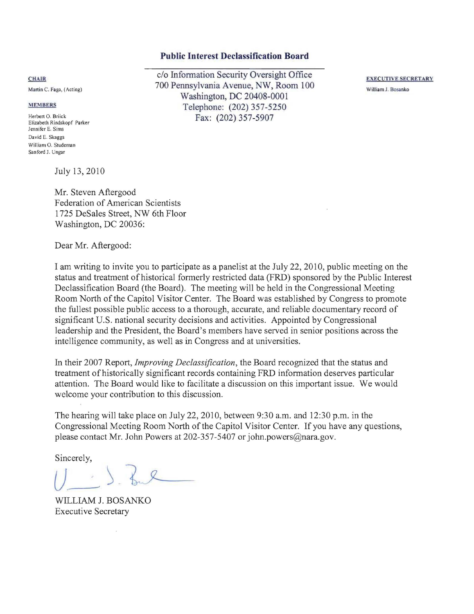### **Public Interest Declassification Board**

c/o Information Security Oversight Office 700 Pennsylvania Avenue, NW, Room 100 Washjngton, DC 20408-0001 Telephone: (202) 357-5250 Fax: (202) 357-5907

EXECUTIVE SECRETARY William J. Bosanko

#### **CHAIR**

Martin C. Faga, (Acting)

#### **MEMBERS**

Herbert O. Briick Elizabeth Rindskopf Parker lennifer E. Sims David E. Skaggs William O. Studeman Sanford *l.* Ungar

July 13,2010

Mr. Steven Aftergood Federation of American Scientists 1725 DeSales Street, NW 6th Floor Washington, DC 20036:

Dear Mr. Aftergood:

I am writing to invite you to participate as a panelist at the July 22,2010, public meeting on the status and treatment of historical formerly restricted data (FRD) sponsored by the Public Interest Declassification Board (the Board). The meeting will be held in the Congressional Meeting Room North of the Capitol Visitor Center. The Board was established by Congress to promote the fullest possible public access to a thorough, accurate, and reliable documentary record of significant U.S. national security decisions and activities. Appointed by Congressional leadership and the President, the Board's members have served in senior positions across the intelligence community, as well as in Congress and at universities.

In their 2007 Report, *Improving Declassification,* the Board recognized that the status and treatment of historically significant records containing FRD information deserves particular attention. The Board would like to facilitate a discussion on this important issue. We would welcome your contribution to this discussion.

The hearing will take place on July 22, 20lO, between 9:30 a.m. and 12:30 p.m. in the Congressional Meeting Room North of the Capitol Visitor Center. If you have any questions, please contact Mr. John Powers at 202-357-5407 or john.powers@nara.gov.

Sincerely,

WILLIAM J. BOSANKO Executive Secretary